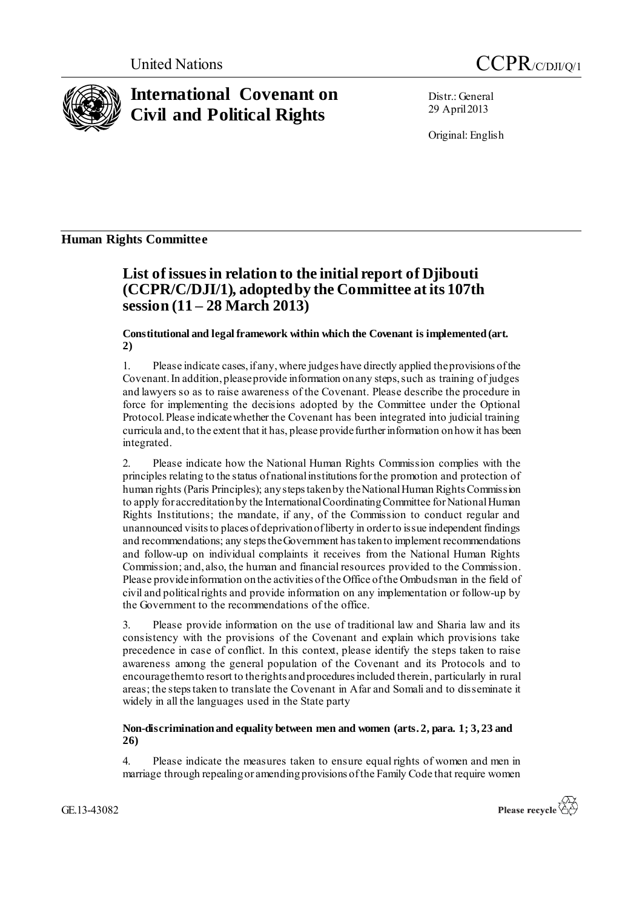



# **International Covenant on Civil and Political Rights**

Distr.: General 29 April2013

Original: English

### **Human Rights Committee**

## **List of issues in relation to the initial report of Djibouti (CCPR/C/DJI/1), adopted by the Committee at its 107th session (11 – 28 March 2013)**

**Constitutional and legal framework within which the Covenant is implemented (art. 2)**

1. Please indicate cases, if any,where judges have directly applied the provisions of the Covenant. In addition, please provide information on any steps, such as training of judges and lawyers so as to raise awareness of the Covenant. Please describe the procedure in force for implementing the decisions adopted by the Committee under the Optional Protocol. Please indicate whether the Covenant has been integrated into judicial training curricula and, to the extent that it has, please provide further information on how it has been integrated.

2. Please indicate how the National Human Rights Commission complies with the principles relating to the status of national institutions for the promotion and protection of human rights (Paris Principles); any steps taken by the National Human Rights Commission to apply for accreditation by the International Coordinating Committee for National Human Rights Institutions; the mandate, if any, of the Commission to conduct regular and unannounced visits to places of deprivation of liberty in order to issue independent findings and recommendations; any steps the Government has taken to implement recommendations and follow-up on individual complaints it receives from the National Human Rights Commission; and, also, the human and financial resources provided to the Commission. Please provide information on the activities of the Office of the Ombudsman in the field of civil and political rights and provide information on any implementation or follow-up by the Government to the recommendations of the office.

3. Please provide information on the use of traditional law and Sharia law and its consistency with the provisions of the Covenant and explain which provisions take precedence in case of conflict. In this context, please identify the steps taken to raise awareness among the general population of the Covenant and its Protocols and to encourage them to resort to the rights and procedures included therein, particularly in rural areas; the steps taken to translate the Covenant in Afar and Somali and to disseminate it widely in all the languages used in the State party

#### **Non-discrimination and equality between men and women (arts. 2, para. 1; 3, 23 and 26)**

4. Please indicate the measures taken to ensure equal rights of women and men in marriage through repealing or amending provisions of the Family Code that require women

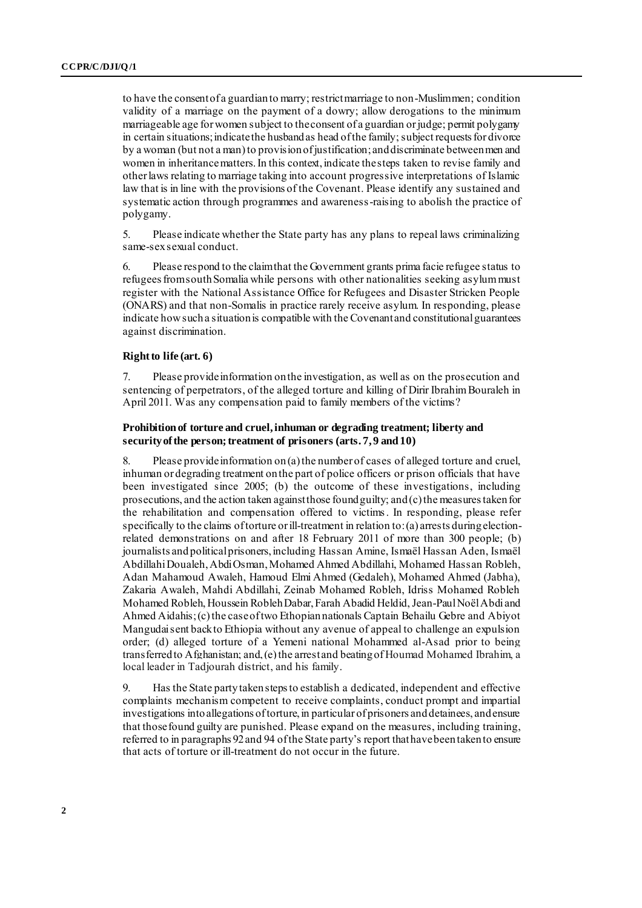to have the consent of a guardian to marry; restrict marriage to non-Muslim men; condition validity of a marriage on the payment of a dowry; allow derogations to the minimum marriageable age for women subject to the consent of a guardian or judge; permit polygamy in certain situations; indicate the husband as head of the family; subject requests for divorce by a woman (but not a man) to provision of justification; and discriminate between men and women in inheritancematters.In this context, indicate the steps taken to revise family and other laws relating to marriage taking into account progressive interpretations of Islamic law that is in line with the provisions of the Covenant. Please identify any sustained and systematic action through programmes and awareness-raising to abolish the practice of polygamy.

5. Please indicate whether the State party has any plans to repeal laws criminalizing same-sex sexual conduct.

6. Please respond to the claim that the Government grants prima facie refugee status to refugees from south Somalia while persons with other nationalities seeking asylum must register with the National Assistance Office for Refugees and Disaster Stricken People (ONARS) and that non-Somalis in practice rarely receive asylum. In responding, please indicate how such a situation is compatible with the Covenant and constitutional guarantees against discrimination.

#### **Right to life (art. 6)**

7. Please provide information on the investigation, as well as on the prosecution and sentencing of perpetrators, of the alleged torture and killing of Dirir Ibrahim Bouraleh in April 2011. Was any compensation paid to family members of the victims?

#### **Prohibition of torture and cruel, inhuman or degrading treatment; liberty and security of the person; treatment of prisoners (arts. 7, 9 and 10)**

8. Please provide information on (a) the number of cases of alleged torture and cruel, inhuman or degrading treatment on the part of police officers or prison officials that have been investigated since 2005; (b) the outcome of these investigations, including prosecutions, and the action taken against those found guilty; and (c) the measures taken for the rehabilitation and compensation offered to victims. In responding, please refer specifically to the claims oftorture or ill-treatment in relation to: (a) arrests during electionrelated demonstrations on and after 18 February 2011 of more than 300 people; (b) journalists and political prisoners, including Hassan Amine, Ismaël Hassan Aden, Ismaël Abdillahi Doualeh, Abdi Osman, Mohamed Ahmed Abdillahi, Mohamed Hassan Robleh, Adan Mahamoud Awaleh, Hamoud Elmi Ahmed (Gedaleh), Mohamed Ahmed (Jabha), Zakaria Awaleh, Mahdi Abdillahi, Zeinab Mohamed Robleh, Idriss Mohamed Robleh Mohamed Robleh, Houssein Robleh Dabar, Farah Abadid Heldid, Jean-Paul Noël Abdi and Ahmed Aidahis; (c) the case of two Ethopian nationals Captain Behailu Gebre and Abiyot Mangudai sent back to Ethiopia without any avenue of appeal to challenge an expulsion order; (d) alleged torture of a Yemeni national Mohammed al-Asad prior to being transferred to Afghanistan; and, (e) the arrest and beating of Houmad Mohamed Ibrahim, a local leader in Tadjourah district, and his family.

9. Has the State party taken steps to establish a dedicated, independent and effective complaints mechanism competent to receive complaints, conduct prompt and impartial investigations into allegations of torture, in particular of prisoners and detainees, and ensure that those found guilty are punished. Please expand on the measures, including training, referred to in paragraphs 92 and 94 of the State party's report that have been taken to ensure that acts of torture or ill-treatment do not occur in the future.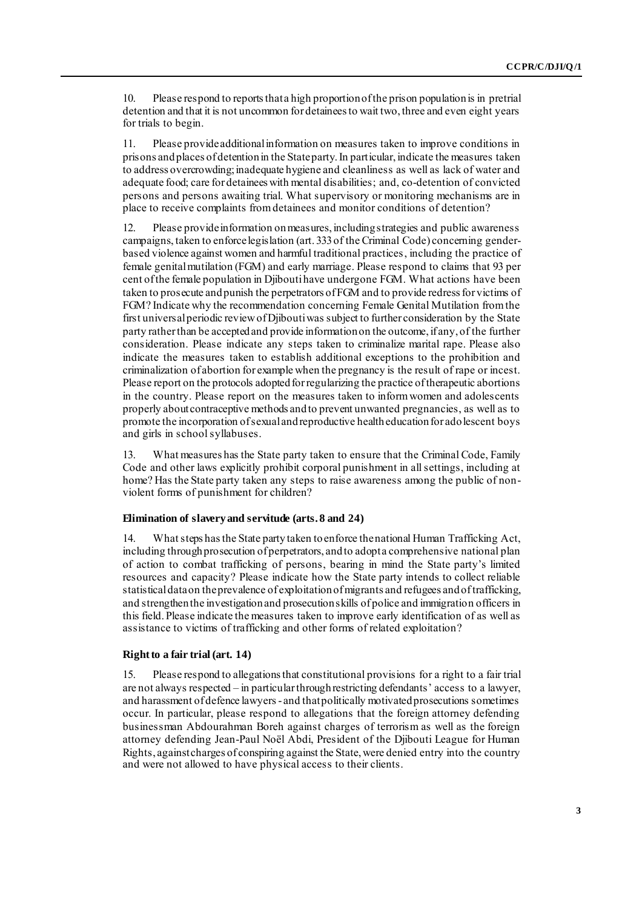10. Please respond to reports that a high proportion of the prison population is in pretrial detention and that it is not uncommon for detainees to wait two, three and even eight years for trials to begin.

11. Please provide additional information on measures taken to improve conditions in prisons and places of detention in the State party. In particular, indicate the measures taken to address overcrowding; inadequate hygiene and cleanliness as well as lack of water and adequate food; care for detainees with mental disabilities; and, co-detention of convicted persons and persons awaiting trial. What supervisory or monitoring mechanisms are in place to receive complaints from detainees and monitor conditions of detention?

12. Please provide information on measures, including strategies and public awareness campaigns, taken to enforce legislation (art. 333 of the Criminal Code) concerning genderbased violence against women and harmful traditional practices, including the practice of female genital mutilation (FGM) and early marriage. Please respond to claims that 93 per cent of the female population in Djibouti have undergone FGM. What actions have been taken to prosecute and punish the perpetrators of FGM and to provide redress for victims of FGM? Indicate why the recommendation concerning Female Genital Mutilation from the first universal periodic review of Djibouti was subject to further consideration by the State party rather than be accepted and provide information on the outcome, if any, of the further consideration. Please indicate any steps taken to criminalize marital rape. Please also indicate the measures taken to establish additional exceptions to the prohibition and criminalization of abortion for example when the pregnancy is the result of rape or incest. Please report on the protocols adopted for regularizing the practice of therapeutic abortions in the country. Please report on the measures taken to inform women and adolescents properly about contraceptive methods and to prevent unwanted pregnancies, as well as to promote the incorporation of sexual and reproductive health education for adolescent boys and girls in school syllabuses.

13. What measures has the State party taken to ensure that the Criminal Code, Family Code and other laws explicitly prohibit corporal punishment in all settings, including at home? Has the State party taken any steps to raise awareness among the public of nonviolent forms of punishment for children?

#### **Elimination of slavery and servitude (arts. 8 and 24)**

14. What steps has the State party taken to enforce the national Human Trafficking Act, including through prosecution of perpetrators, and to adopt a comprehensive national plan of action to combat trafficking of persons, bearing in mind the State party's limited resources and capacity? Please indicate how the State party intends to collect reliable statistical dataon the prevalence of exploitation of migrants and refugees and of trafficking, and strengthen the investigation and prosecution skills of police and immigration officers in this field.Please indicate the measures taken to improve early identification of as well as assistance to victims of trafficking and other forms of related exploitation?

#### **Right to a fair trial (art. 14)**

15. Please respond to allegations that constitutional provisions for a right to a fair trial are not always respected – in particular through restricting defendants' access to a lawyer, and harassment of defence lawyers - and that politically motivated prosecutions sometimes occur. In particular, please respond to allegations that the foreign attorney defending businessman Abdourahman Boreh against charges of terrorism as well as the foreign attorney defending Jean-Paul Noël Abdi, President of the Djibouti League for Human Rights, against charges of conspiring against the State,were denied entry into the country and were not allowed to have physical access to their clients.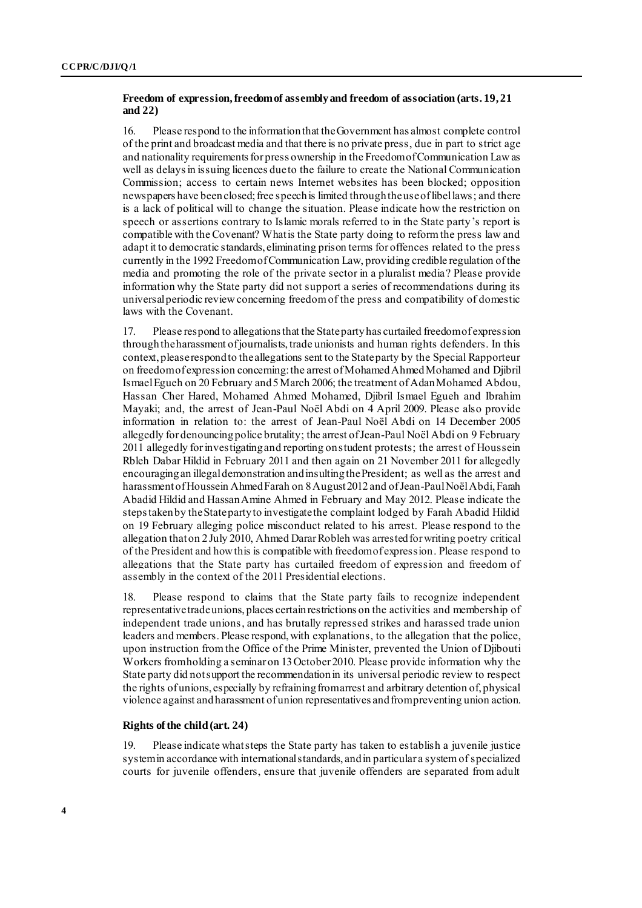#### **Freedom of expression, freedom of assembly and freedom of association (arts. 19, 21 and 22)**

16. Please respond to the information that the Government has almost complete control of the print and broadcast media and that there is no private press, due in part to strict age and nationality requirements for press ownership in the Freedom of Communication Law as well as delays in issuing licences due to the failure to create the National Communication Commission; access to certain news Internet websites has been blocked; opposition newspapers have been closed; free speech is limited through the use of libel laws; and there is a lack of political will to change the situation. Please indicate how the restriction on speech or assertions contrary to Islamic morals referred to in the State party's report is compatible with the Covenant? What is the State party doing to reform the press law and adapt it to democratic standards, eliminating prison terms for offences related to the press currently in the 1992 Freedom of Communication Law, providing credible regulation of the media and promoting the role of the private sector in a pluralist media? Please provide information why the State party did not support a series of recommendations during its universal periodic review concerning freedom of the press and compatibility of domestic laws with the Covenant.

17. Please respond to allegations that the State party has curtailed freedom of expression through the harassment of journalists, trade unionists and human rights defenders. In this context, please respond to the allegations sent to the State party by the Special Rapporteur on freedom of expression concerning: the arrest of Mohamed Ahmed Mohamed and Djibril Ismael Egueh on 20 February and 5March 2006; the treatment of Adan Mohamed Abdou, Hassan Cher Hared, Mohamed Ahmed Mohamed, Djibril Ismael Egueh and Ibrahim Mayaki; and, the arrest of Jean-Paul Noël Abdi on 4 April 2009. Please also provide information in relation to: the arrest of Jean-Paul Noël Abdi on 14 December 2005 allegedly for denouncing police brutality; the arrest of Jean-Paul Noël Abdi on 9 February 2011 allegedly for investigating and reporting on student protests; the arrest of Houssein Rbleh Dabar Hildid in February 2011 and then again on 21 November 2011 for allegedly encouraging an illegal demonstration and insulting the President; as well as the arrest and harassment of Houssein Ahmed Farah on 8 August 2012 and of Jean-Paul Noël Abdi, Farah Abadid Hildid and Hassan Amine Ahmed in February and May 2012. Please indicate the steps taken by the State party to investigate the complaint lodged by Farah Abadid Hildid on 19 February alleging police misconduct related to his arrest. Please respond to the allegation thaton 2 July 2010, Ahmed Darar Robleh was arrested for writing poetry critical of the President and how this is compatible with freedom of expression. Please respond to allegations that the State party has curtailed freedom of expression and freedom of assembly in the context of the 2011 Presidential elections.

18. Please respond to claims that the State party fails to recognize independent representative trade unions, places certain restrictions on the activities and membership of independent trade unions, and has brutally repressed strikes and harassed trade union leaders and members. Please respond, with explanations, to the allegation that the police, upon instruction from the Office of the Prime Minister, prevented the Union of Djibouti Workers from holding a seminar on 13 October 2010. Please provide information why the State party did not support the recommendation in its universal periodic review to respect the rights of unions, especially by refraining from arrest and arbitrary detention of, physical violence against and harassment of union representatives and from preventing union action.

#### **Rights of the child (art. 24)**

19. Please indicate what steps the State party has taken to establish a juvenile justice system in accordance with international standards, and in particular a system of specialized courts for juvenile offenders, ensure that juvenile offenders are separated from adult